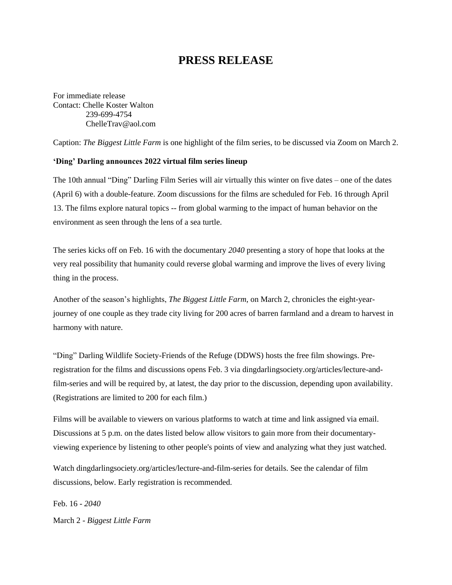## **PRESS RELEASE**

For immediate release Contact: Chelle Koster Walton 239-699-4754 [ChelleTrav@aol.com](mailto:ChelleTrav@aol.com)

Caption: *The Biggest Little Farm* is one highlight of the film series, to be discussed via Zoom on March 2.

## **'Ding' Darling announces 2022 virtual film series lineup**

The 10th annual "Ding" Darling Film Series will air virtually this winter on five dates – one of the dates (April 6) with a double-feature. Zoom discussions for the films are scheduled for Feb. 16 through April 13. The films explore natural topics -- from global warming to the impact of human behavior on the environment as seen through the lens of a sea turtle.

The series kicks off on Feb. 16 with the documentary *2040* presenting a story of hope that looks at the very real possibility that humanity could reverse global warming and improve the lives of every living thing in the process.

Another of the season's highlights, *The Biggest Little Farm*, on March 2, chronicles the eight-yearjourney of one couple as they trade city living for 200 acres of barren farmland and a dream to harvest in harmony with nature.

"Ding" Darling Wildlife Society-Friends of the Refuge (DDWS) hosts the free film showings. Preregistration for the films and discussions opens Feb. 3 via dingdarlingsociety.org/articles/lecture-andfilm-series and will be required by, at latest, the day prior to the discussion, depending upon availability. (Registrations are limited to 200 for each film.)

Films will be available to viewers on various platforms to watch at time and link assigned via email. Discussions at 5 p.m. on the dates listed below allow visitors to gain more from their documentaryviewing experience by listening to other people's points of view and analyzing what they just watched.

Watch dingdarlingsociety.org/articles/lecture-and-film-series for details. See the calendar of film discussions, below. Early registration is recommended.

Feb. 16 - *2040* March 2 - *Biggest Little Farm*